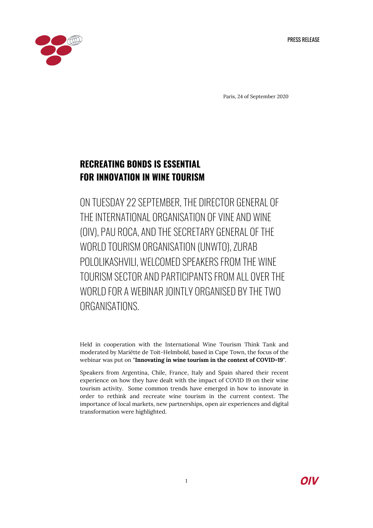PRESS RELEASE



Paris, 24 of September 2020

# **RECREATING BONDS IS ESSENTIAL FOR INNOVATION IN WINE TOURISM**

ON TUESDAY 22 SEPTEMBER, THE DIRECTOR GENERAL OF THE INTERNATIONAL ORGANISATION OF VINE AND WINE (OIV), PAU ROCA, AND THE SECRETARY GENERAL OF THE WORLD TOURISM ORGANISATION (UNWTO), ZURAB POLOLIKASHVILI, WELCOMED SPEAKERS FROM THE WINE TOURISM SECTOR AND PARTICIPANTS FROM ALL OVER THE WORLD FOR A WEBINAR JOINTLY ORGANISED BY THE TWO ORGANISATIONS.

Held in cooperation with the International Wine Tourism Think Tank and moderated by Mariëtte de Toit-Helmbold, based in Cape Town, the focus of the webinar was put on "**Innovating in wine tourism in the context of COVID-19**".

Speakers from Argentina, Chile, France, Italy and Spain shared their recent experience on how they have dealt with the impact of COVID 19 on their wine tourism activity. Some common trends have emerged in how to innovate in order to rethink and recreate wine tourism in the current context. The importance of local markets, new partnerships, open air experiences and digital transformation were highlighted.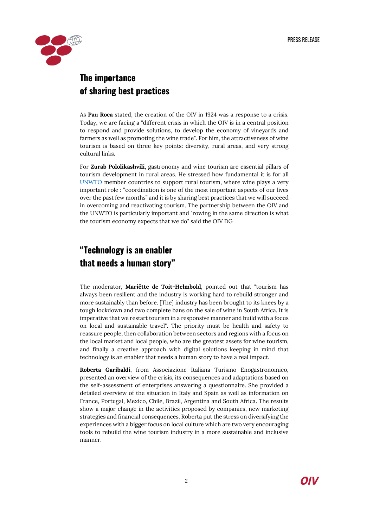

### **The importance of sharing best practices**

As **Pau Roca** stated, the creation of the OIV in 1924 was a response to a crisis. Today, we are facing a "different crisis in which the OIV is in a central position to respond and provide solutions, to develop the economy of vineyards and farmers as well as promoting the wine trade". For him, the attractiveness of wine tourism is based on three key points: diversity, rural areas, and very strong cultural links.

For **Zurab Pololikashvili**, gastronomy and wine tourism are essential pillars of tourism development in rural areas. He stressed how fundamental it is for all [UNWTO](https://www.unwto.org/) member countries to support rural tourism, where wine plays a very important role : "coordination is one of the most important aspects of our lives over the past few months" and it is by sharing best practices that we will succeed in overcoming and reactivating tourism. The partnership between the OIV and the UNWTO is particularly important and "rowing in the same direction is what the tourism economy expects that we do" said the OIV DG

## **"Technology is an enabler that needs a human story"**

The moderator, **Mariëtte de Toit-Helmbold**, pointed out that "tourism has always been resilient and the industry is working hard to rebuild stronger and more sustainably than before. [The] industry has been brought to its knees by a tough lockdown and two complete bans on the sale of wine in South Africa. It is imperative that we restart tourism in a responsive manner and build with a focus on local and sustainable travel". The priority must be health and safety to reassure people, then collaboration between sectors and regions with a focus on the local market and local people, who are the greatest assets for wine tourism, and finally a creative approach with digital solutions keeping in mind that technology is an enabler that needs a human story to have a real impact.

**Roberta Garibaldi**, from Associazione Italiana Turismo Enogastronomico, presented an overview of the crisis, its consequences and adaptations based on the self-assessment of enterprises answering a questionnaire. She provided a detailed overview of the situation in Italy and Spain as well as information on France, Portugal, Mexico, Chile, Brazil, Argentina and South Africa. The results show a major change in the activities proposed by companies, new marketing strategies and financial consequences. Roberta put the stress on diversifying the experiences with a bigger focus on local culture which are two very encouraging tools to rebuild the wine tourism industry in a more sustainable and inclusive manner.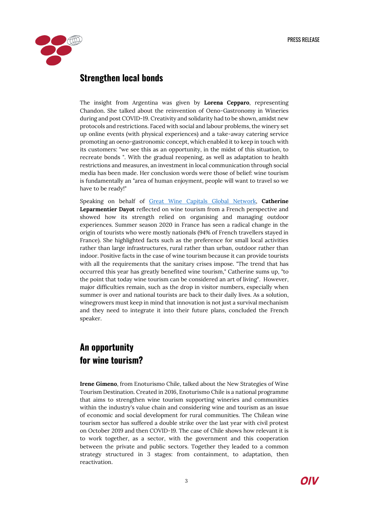

### **Strengthen local bonds**

The insight from Argentina was given by **Lorena Cepparo**, representing Chandon. She talked about the reinvention of Oeno-Gastronomy in Wineries during and post COVID-19. Creativity and solidarity had to be shown, amidst new protocols and restrictions. Faced with social and labour problems, the winery set up online events (with physical experiences) and a take-away catering service promoting an oeno-gastronomic concept, which enabled it to keep in touch with its customers: "we see this as an opportunity, in the midst of this situation, to recreate bonds ". With the gradual reopening, as well as adaptation to health restrictions and measures, an investment in local communication through social media has been made. Her conclusion words were those of belief: wine tourism is fundamentally an "area of human enjoyment, people will want to travel so we have to be ready!"

Speaking on behalf of [Great Wine Capitals Global Network,](https://www.greatwinecapitals.com/) **Catherine Leparmentier Dayot** reflected on wine tourism from a French perspective and showed how its strength relied on organising and managing outdoor experiences. Summer season 2020 in France has seen a radical change in the origin of tourists who were mostly nationals (94% of French travellers stayed in France). She highlighted facts such as the preference for small local activities rather than large infrastructures, rural rather than urban, outdoor rather than indoor. Positive facts in the case of wine tourism because it can provide tourists with all the requirements that the sanitary crises impose. "The trend that has occurred this year has greatly benefited wine tourism," Catherine sums up, "to the point that today wine tourism can be considered an art of living". However, major difficulties remain, such as the drop in visitor numbers, especially when summer is over and national tourists are back to their daily lives. As a solution, winegrowers must keep in mind that innovation is not just a survival mechanism and they need to integrate it into their future plans, concluded the French speaker.

### **An opportunity for wine tourism?**

**Irene Gimeno**, from Enoturismo Chile, talked about the New Strategies of Wine Tourism Destination. Created in 2016, Enoturismo Chile is a national programme that aims to strengthen wine tourism supporting wineries and communities within the industry's value chain and considering wine and tourism as an issue of economic and social development for rural communities. The Chilean wine tourism sector has suffered a double strike over the last year with civil protest on October 2019 and then COVID-19. The case of Chile shows how relevant it is to work together, as a sector, with the government and this cooperation between the private and public sectors. Together they leaded to a common strategy structured in 3 stages: from containment, to adaptation, then reactivation.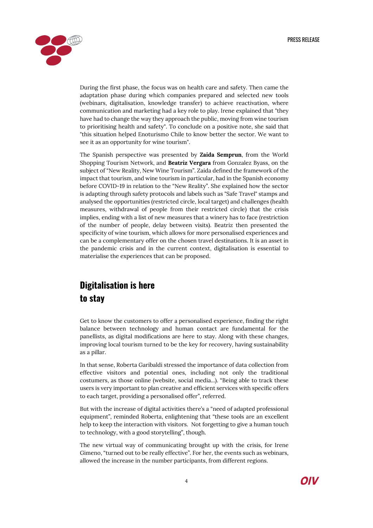

During the first phase, the focus was on health care and safety. Then came the adaptation phase during which companies prepared and selected new tools (webinars, digitalisation, knowledge transfer) to achieve reactivation, where communication and marketing had a key role to play. Irene explained that "they have had to change the way they approach the public, moving from wine tourism to prioritising health and safety". To conclude on a positive note, she said that "this situation helped Enoturismo Chile to know better the sector. We want to see it as an opportunity for wine tourism".

The Spanish perspective was presented by **Zaida Semprun**, from the World Shopping Tourism Network, and **Beatriz Vergara** from Gonzalez Byass, on the subject of "New Reality, New Wine Tourism". Zaida defined the framework of the impact that tourism, and wine tourism in particular, had in the Spanish economy before COVID-19 in relation to the "New Reality". She explained how the sector is adapting through safety protocols and labels such as "Safe Travel" stamps and analysed the opportunities (restricted circle, local target) and challenges (health measures, withdrawal of people from their restricted circle) that the crisis implies, ending with a list of new measures that a winery has to face (restriction of the number of people, delay between visits). Beatriz then presented the specificity of wine tourism, which allows for more personalised experiences and can be a complementary offer on the chosen travel destinations. It is an asset in the pandemic crisis and in the current context, digitalisation is essential to materialise the experiences that can be proposed.

### **Digitalisation is here to stay**

Get to know the customers to offer a personalised experience, finding the right balance between technology and human contact are fundamental for the panellists, as digital modifications are here to stay. Along with these changes, improving local tourism turned to be the key for recovery, having sustainability as a pillar.

In that sense, Roberta Garibaldi stressed the importance of data collection from effective visitors and potential ones, including not only the traditional costumers, as those online (website, social media...). "Being able to track these users is very important to plan creative and efficient services with specific offers to each target, providing a personalised offer", referred.

But with the increase of digital activities there's a "need of adapted professional equipment", reminded Roberta, enlightening that "these tools are an excellent help to keep the interaction with visitors. Not forgetting to give a human touch to technology, with a good storytelling", though.

The new virtual way of communicating brought up with the crisis, for Irene Gimeno, "turned out to be really effective". For her, the events such as webinars, allowed the increase in the number participants, from different regions.